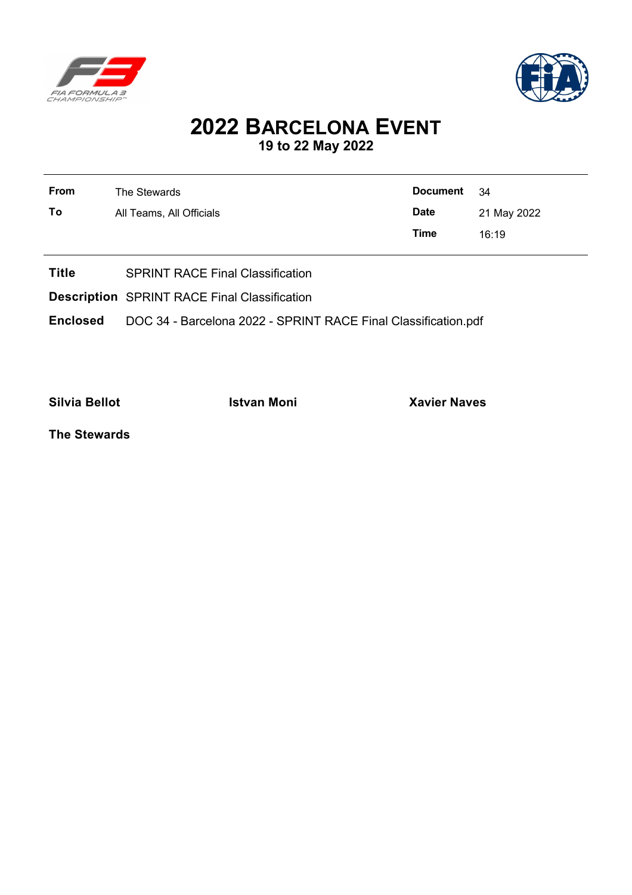



## **2022 BARCELONA EVENT 19 to 22 May 2022**

| From | The Stewards             | Document 34 |             |
|------|--------------------------|-------------|-------------|
| To   | All Teams, All Officials | <b>Date</b> | 21 May 2022 |
|      |                          | Time        | 16:19       |
|      |                          |             |             |

- **Title** SPRINT RACE Final Classification
- **Description** SPRINT RACE Final Classification
- **Enclosed** DOC 34 Barcelona 2022 SPRINT RACE Final Classification.pdf

**Silvia Bellot Istvan Moni Xavier Naves**

**The Stewards**